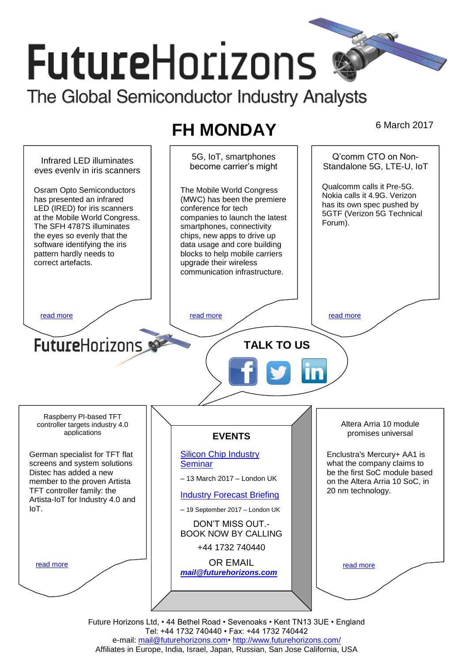# **FutureHorizons**

The Global Semiconductor Industry Analysts

# **FH MONDAY** 6 March 2017

5G, IoT, smartphones Q'comm CTO on Non-Infrared LED illuminates become carrier's might Standalone 5G, LTF-U, IoT eyes evenly in iris scanners Qualcomm calls it Pre-5G. Osram Opto Semiconductors The Mobile World Congress Nokia calls it 4.9G. Verizon has presented an infrared (MWC) has been the premiere has its own spec pushed by LED (IRED) for iris scanners conference for tech 5GTF (Verizon 5G Technical at the Mobile World Congress. companies to launch the latest Forum). The SFH 4787S illuminates smartphones, connectivity the eyes so evenly that the chips, new apps to drive up software identifying the iris data usage and core building pattern hardly needs to blocks to help mobile carriers correct artefacts. upgrade their wireless communication infrastructure. [read more](#page-1-1) that the second contract the second contract of the read more that the read more that the read more **Future**Horizons **TALK TO US** Raspberry PI-based TFT Altera Arria 10 module controller targets industry 4.0 promises universal applications **EVENTS** German specialist for TFT flat [Silicon Chip Industry](http://www.futurehorizons.com/page/12/silicon-chip-training)  Enclustra's Mercury+ AA1 is screens and system solutions **[Seminar](http://www.futurehorizons.com/page/12/silicon-chip-training)** what the company claims to be the first SoC module based Distec has added a new – 13 March 2017 – London UK member to the proven Artista on the Altera Arria 10 SoC, in TFT controller family: the 20 nm technology. [Industry Forecast Briefing](http://www.futurehorizons.com/page/13/Semiconductor-Market-Forecast-Seminar) Artista-IoT for Industry 4.0 and IoT.– 19 September 2017 – London UK DON'T MISS OUT.- BOOK NOW BY CALLING +44 1732 740440 OR EMAIL [read more](#page-1-3) [read more](#page-1-4) *[mail@futurehorizons.com](mailto:mail@futurehorizons.com)*

Future Horizons Ltd, • 44 Bethel Road • Sevenoaks • Kent TN13 3UE • England Tel: +44 1732 740440 • Fax: +44 1732 740442 e-mail: mail@futurehorizons.com• http://www.futurehorizons.com/ Affiliates in Europe, India, Israel, Japan, Russian, San Jose California, USA